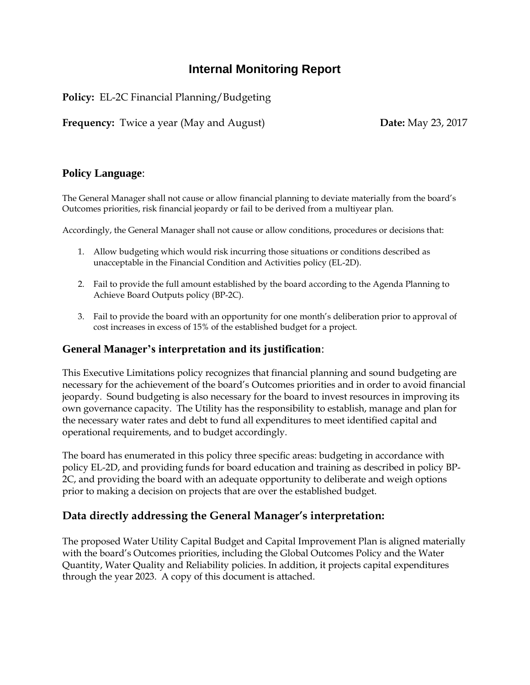# **Internal Monitoring Report**

**Policy:** EL-2C Financial Planning/Budgeting

**Frequency:** Twice a year (May and August) **Date:** May 23, 2017

## **Policy Language**:

The General Manager shall not cause or allow financial planning to deviate materially from the board's Outcomes priorities, risk financial jeopardy or fail to be derived from a multiyear plan.

Accordingly, the General Manager shall not cause or allow conditions, procedures or decisions that:

- 1. Allow budgeting which would risk incurring those situations or conditions described as unacceptable in the Financial Condition and Activities policy (EL-2D).
- 2. Fail to provide the full amount established by the board according to the Agenda Planning to Achieve Board Outputs policy (BP-2C).
- 3. Fail to provide the board with an opportunity for one month's deliberation prior to approval of cost increases in excess of 15% of the established budget for a project.

## **General Manager's interpretation and its justification**:

This Executive Limitations policy recognizes that financial planning and sound budgeting are necessary for the achievement of the board's Outcomes priorities and in order to avoid financial jeopardy. Sound budgeting is also necessary for the board to invest resources in improving its own governance capacity. The Utility has the responsibility to establish, manage and plan for the necessary water rates and debt to fund all expenditures to meet identified capital and operational requirements, and to budget accordingly.

The board has enumerated in this policy three specific areas: budgeting in accordance with policy EL-2D, and providing funds for board education and training as described in policy BP-2C, and providing the board with an adequate opportunity to deliberate and weigh options prior to making a decision on projects that are over the established budget.

## **Data directly addressing the General Manager's interpretation:**

The proposed Water Utility Capital Budget and Capital Improvement Plan is aligned materially with the board's Outcomes priorities, including the Global Outcomes Policy and the Water Quantity, Water Quality and Reliability policies. In addition, it projects capital expenditures through the year 2023. A copy of this document is attached.